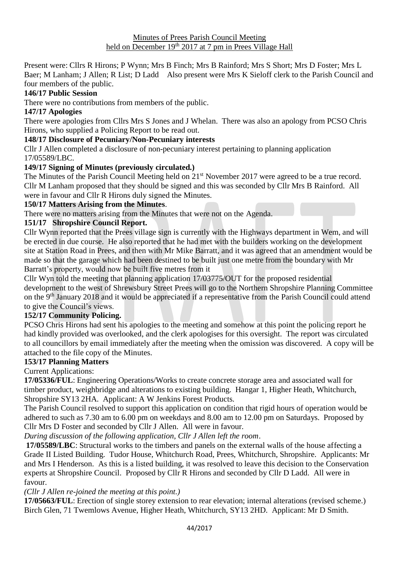Present were: Cllrs R Hirons; P Wynn; Mrs B Finch; Mrs B Rainford; Mrs S Short; Mrs D Foster; Mrs L Baer; M Lanham; J Allen; R List; D Ladd Also present were Mrs K Sieloff clerk to the Parish Council and four members of the public.

## **146/17 Public Session**

There were no contributions from members of the public.

# **147/17 Apologies**

There were apologies from Cllrs Mrs S Jones and J Whelan. There was also an apology from PCSO Chris Hirons, who supplied a Policing Report to be read out.

## **148/17 Disclosure of Pecuniary/Non-Pecuniary interests**

Cllr J Allen completed a disclosure of non-pecuniary interest pertaining to planning application 17/05589/LBC.

### **149/17 Signing of Minutes (previously circulated.)**

The Minutes of the Parish Council Meeting held on 21<sup>st</sup> November 2017 were agreed to be a true record. Cllr M Lanham proposed that they should be signed and this was seconded by Cllr Mrs B Rainford. All were in favour and Cllr R Hirons duly signed the Minutes.

## **150/17 Matters Arising from the Minutes**.

There were no matters arising from the Minutes that were not on the Agenda.

## **151/17 Shropshire Council Report.**

Cllr Wynn reported that the Prees village sign is currently with the Highways department in Wem, and will be erected in due course. He also reported that he had met with the builders working on the development site at Station Road in Prees, and then with Mr Mike Barratt, and it was agreed that an amendment would be made so that the garage which had been destined to be built just one metre from the boundary with Mr Barratt's property, would now be built five metres from it

Cllr Wyn told the meeting that planning application 17/03775/OUT for the proposed residential development to the west of Shrewsbury Street Prees will go to the Northern Shropshire Planning Committee on the 9<sup>th</sup> January 2018 and it would be appreciated if a representative from the Parish Council could attend to give the Council's views.

## **152/17 Community Policing.**

PCSO Chris Hirons had sent his apologies to the meeting and somehow at this point the policing report he had kindly provided was overlooked, and the clerk apologises for this oversight. The report was circulated to all councillors by email immediately after the meeting when the omission was discovered. A copy will be attached to the file copy of the Minutes.

### **153/17 Planning Matters**

Current Applications:

**17/05336/FUL**: Engineering Operations/Works to create concrete storage area and associated wall for timber product, weighbridge and alterations to existing building. Hangar 1, Higher Heath, Whitchurch, Shropshire SY13 2HA. Applicant: A W Jenkins Forest Products.

The Parish Council resolved to support this application on condition that rigid hours of operation would be adhered to such as 7.30 am to 6.00 pm on weekdays and 8.00 am to 12.00 pm on Saturdays. Proposed by Cllr Mrs D Foster and seconded by Cllr J Allen. All were in favour.

*During discussion of the following application, Cllr J Allen left the room*.

**17/05589/LBC**: Structural works to the timbers and panels on the external walls of the house affecting a Grade II Listed Building. Tudor House, Whitchurch Road, Prees, Whitchurch, Shropshire. Applicants: Mr and Mrs I Henderson. As this is a listed building, it was resolved to leave this decision to the Conservation experts at Shropshire Council. Proposed by Cllr R Hirons and seconded by Cllr D Ladd. All were in favour.

*(Cllr J Allen re-joined the meeting at this point.)*

**17/05663/FUL**: Erection of single storey extension to rear elevation; internal alterations (revised scheme.) Birch Glen, 71 Twemlows Avenue, Higher Heath, Whitchurch, SY13 2HD. Applicant: Mr D Smith.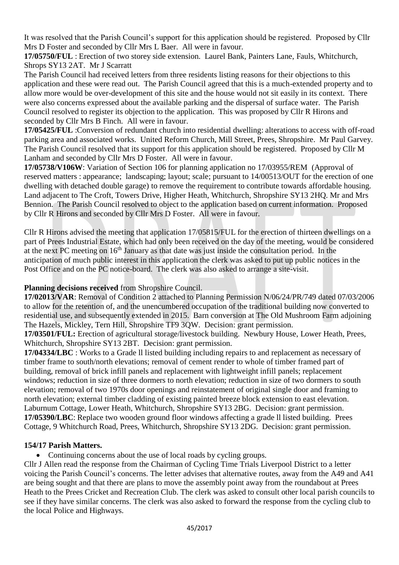It was resolved that the Parish Council's support for this application should be registered. Proposed by Cllr Mrs D Foster and seconded by Cllr Mrs L Baer. All were in favour.

**17/05750/FUL** : Erection of two storey side extension. Laurel Bank, Painters Lane, Fauls, Whitchurch, Shrops SY13 2AT. Mr J Scarratt

The Parish Council had received letters from three residents listing reasons for their objections to this application and these were read out. The Parish Council agreed that this is a much-extended property and to allow more would be over-development of this site and the house would not sit easily in its context. There were also concerns expressed about the available parking and the dispersal of surface water. The Parish Council resolved to register its objection to the application. This was proposed by Cllr R Hirons and seconded by Cllr Mrs B Finch. All were in favour.

**17/05425/FUL** :Conversion of redundant church into residential dwelling: alterations to access with off-road parking area and associated works. United Reform Church, Mill Street, Prees, Shropshire. Mr Paul Garvey. The Parish Council resolved that its support for this application should be registered. Proposed by Cllr M Lanham and seconded by Cllr Mrs D Foster. All were in favour.

**17/05738/V106W**: Variation of Section 106 for planning application no 17/03955/REM (Approval of reserved matters : appearance; landscaping; layout; scale; pursuant to 14/00513/OUT for the erection of one dwelling with detached double garage) to remove the requirement to contribute towards affordable housing. Land adjacent to The Croft, Towers Drive, Higher Heath, Whitchurch, Shropshire SY13 2HQ. Mr and Mrs Bennion. The Parish Council resolved to object to the application based on current information. Proposed by Cllr R Hirons and seconded by Cllr Mrs D Foster. All were in favour.

Cllr R Hirons advised the meeting that application 17/05815/FUL for the erection of thirteen dwellings on a part of Prees Industrial Estate, which had only been received on the day of the meeting, would be considered at the next PC meeting on 16<sup>th</sup> January as that date was just inside the consultation period. In the anticipation of much public interest in this application the clerk was asked to put up public notices in the Post Office and on the PC notice-board. The clerk was also asked to arrange a site-visit.

# **Planning decisions received** from Shropshire Council.

**17/02013/VAR**: Removal of Condition 2 attached to Planning Permission N/06/24/PR/749 dated 07/03/2006 to allow for the retention of, and the unencumbered occupation of the traditional building now converted to residential use, and subsequently extended in 2015. Barn conversion at The Old Mushroom Farm adjoining The Hazels, Mickley, Tern Hill, Shropshire TF9 3QW. Decision: grant permission.

**17/03501/FUL:** Erection of agricultural storage/livestock building. Newbury House, Lower Heath, Prees, Whitchurch, Shropshire SY13 2BT. Decision: grant permission.

**17/04334/LBC** : Works to a Grade ll listed building including repairs to and replacement as necessary of timber frame to south/north elevations; removal of cement render to whole of timber framed part of building, removal of brick infill panels and replacement with lightweight infill panels; replacement windows; reduction in size of three dormers to north elevation; reduction in size of two dormers to south elevation; removal of two 1970s door openings and reinstatement of original single door and framing to north elevation; external timber cladding of existing painted breeze block extension to east elevation. Laburnum Cottage, Lower Heath, Whitchurch, Shropshire SY13 2BG. Decision: grant permission. **17/05390/LBC**: Replace two wooden ground floor windows affecting a grade ll listed building. Prees Cottage, 9 Whitchurch Road, Prees, Whitchurch, Shropshire SY13 2DG. Decision: grant permission.

### **154/17 Parish Matters.**

• Continuing concerns about the use of local roads by cycling groups.

Cllr J Allen read the response from the Chairman of Cycling Time Trials Liverpool District to a letter voicing the Parish Council's concerns. The letter advises that alternative routes, away from the A49 and A41 are being sought and that there are plans to move the assembly point away from the roundabout at Prees Heath to the Prees Cricket and Recreation Club. The clerk was asked to consult other local parish councils to see if they have similar concerns. The clerk was also asked to forward the response from the cycling club to the local Police and Highways.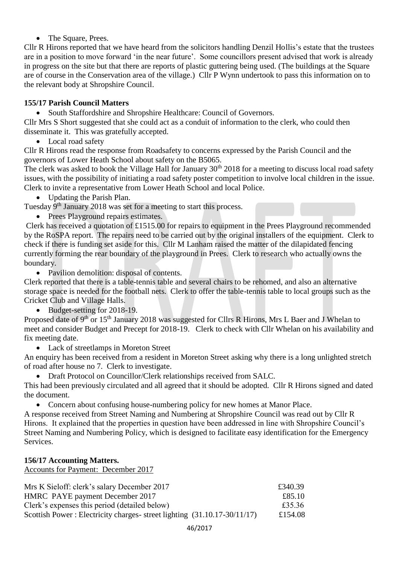## • The Square, Prees.

Cllr R Hirons reported that we have heard from the solicitors handling Denzil Hollis's estate that the trustees are in a position to move forward 'in the near future'. Some councillors present advised that work is already in progress on the site but that there are reports of plastic guttering being used. (The buildings at the Square are of course in the Conservation area of the village.) Cllr P Wynn undertook to pass this information on to the relevant body at Shropshire Council.

# **155/17 Parish Council Matters**

• South Staffordshire and Shropshire Healthcare: Council of Governors.

Cllr Mrs S Short suggested that she could act as a conduit of information to the clerk, who could then disseminate it. This was gratefully accepted.

• Local road safety

Cllr R Hirons read the response from Roadsafety to concerns expressed by the Parish Council and the governors of Lower Heath School about safety on the B5065.

The clerk was asked to book the Village Hall for January  $30<sup>th</sup>$  2018 for a meeting to discuss local road safety issues, with the possibility of initiating a road safety poster competition to involve local children in the issue. Clerk to invite a representative from Lower Heath School and local Police.

• Updating the Parish Plan.

Tuesday 9<sup>th</sup> January 2018 was set for a meeting to start this process.

• Prees Playground repairs estimates.

Clerk has received a quotation of £1515.00 for repairs to equipment in the Prees Playground recommended by the RoSPA report. The repairs need to be carried out by the original installers of the equipment. Clerk to check if there is funding set aside for this. Cllr M Lanham raised the matter of the dilapidated fencing currently forming the rear boundary of the playground in Prees. Clerk to research who actually owns the boundary.

• Pavilion demolition: disposal of contents.

Clerk reported that there is a table-tennis table and several chairs to be rehomed, and also an alternative storage space is needed for the football nets. Clerk to offer the table-tennis table to local groups such as the Cricket Club and Village Halls.

• Budget-setting for 2018-19.

Proposed date of 9<sup>th</sup> or 15<sup>th</sup> January 2018 was suggested for Cllrs R Hirons, Mrs L Baer and J Whelan to meet and consider Budget and Precept for 2018-19. Clerk to check with Cllr Whelan on his availability and fix meeting date.

• Lack of streetlamps in Moreton Street

An enquiry has been received from a resident in Moreton Street asking why there is a long unlighted stretch of road after house no 7. Clerk to investigate.

• Draft Protocol on Councillor/Clerk relationships received from SALC.

This had been previously circulated and all agreed that it should be adopted. Cllr R Hirons signed and dated the document.

• Concern about confusing house-numbering policy for new homes at Manor Place.

A response received from Street Naming and Numbering at Shropshire Council was read out by Cllr R Hirons. It explained that the properties in question have been addressed in line with Shropshire Council's Street Naming and Numbering Policy, which is designed to facilitate easy identification for the Emergency Services.

### **156/17 Accounting Matters.**

Accounts for Payment: December 2017

| Mrs K Sieloff: clerk's salary December 2017                               | £340.39 |
|---------------------------------------------------------------------------|---------|
| HMRC PAYE payment December 2017                                           | £85.10  |
| Clerk's expenses this period (detailed below)                             | £35.36  |
| Scottish Power: Electricity charges-street lighting $(31.10.17-30/11/17)$ | £154.08 |